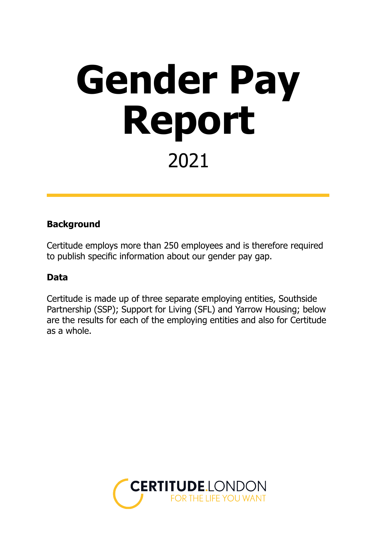## **Gender Pay Report** 2021

#### **Background**

Certitude employs more than 250 employees and is therefore required to publish specific information about our gender pay gap.

#### **Data**

Certitude is made up of three separate employing entities, Southside Partnership (SSP); Support for Living (SFL) and Yarrow Housing; below are the results for each of the employing entities and also for Certitude as a whole.

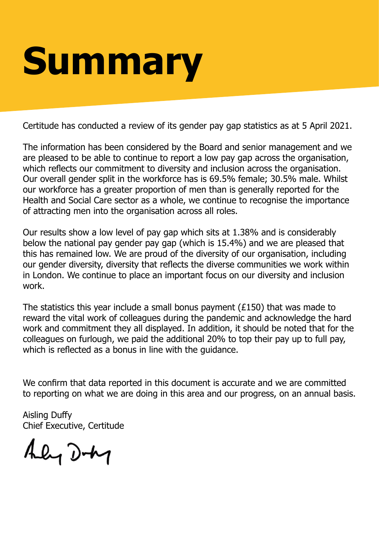# **Summary**

Certitude has conducted a review of its gender pay gap statistics as at 5 April 2021.

The information has been considered by the Board and senior management and we are pleased to be able to continue to report a low pay gap across the organisation, which reflects our commitment to diversity and inclusion across the organisation. Our overall gender split in the workforce has is 69.5% female; 30.5% male. Whilst our workforce has a greater proportion of men than is generally reported for the Health and Social Care sector as a whole, we continue to recognise the importance of attracting men into the organisation across all roles.

Our results show a low level of pay gap which sits at 1.38% and is considerably below the national pay gender pay gap (which is 15.4%) and we are pleased that this has remained low. We are proud of the diversity of our organisation, including our gender diversity, diversity that reflects the diverse communities we work within in London. We continue to place an important focus on our diversity and inclusion work.

The statistics this year include a small bonus payment (£150) that was made to reward the vital work of colleagues during the pandemic and acknowledge the hard work and commitment they all displayed. In addition, it should be noted that for the colleagues on furlough, we paid the additional 20% to top their pay up to full pay, which is reflected as a bonus in line with the guidance.

We confirm that data reported in this document is accurate and we are committed to reporting on what we are doing in this area and our progress, on an annual basis.

Aisling Duffy Chief Executive, Certitude

Aly Doty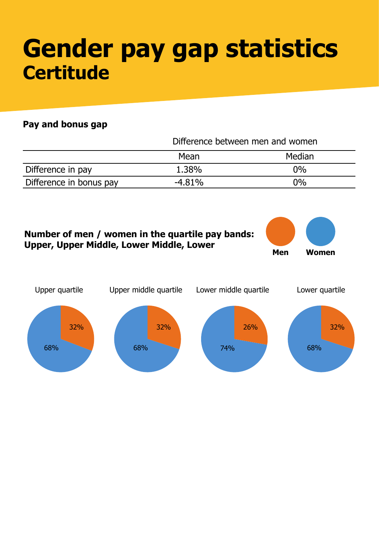### **Gender pay gap statistics Certitude**

|                         | Difference between men and women |        |  |
|-------------------------|----------------------------------|--------|--|
|                         | Mean                             | Median |  |
| Difference in pay       | 1.38%                            | $0\%$  |  |
| Difference in bonus pay | $-4.81%$                         | $0\%$  |  |

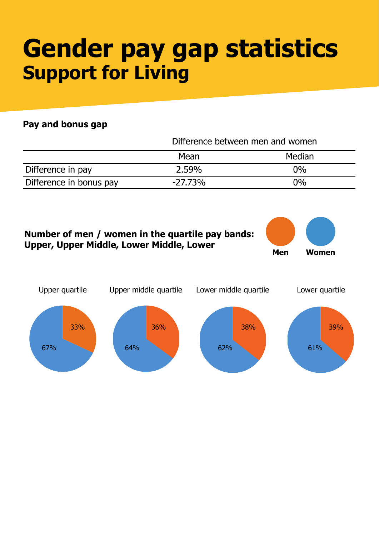### **Gender pay gap statistics Support for Living**

|                         | Difference between men and women |        |  |
|-------------------------|----------------------------------|--------|--|
|                         | Mean                             | Median |  |
| Difference in pay       | 2.59%                            | $0\%$  |  |
| Difference in bonus pay | $-27.73%$                        | $0\%$  |  |

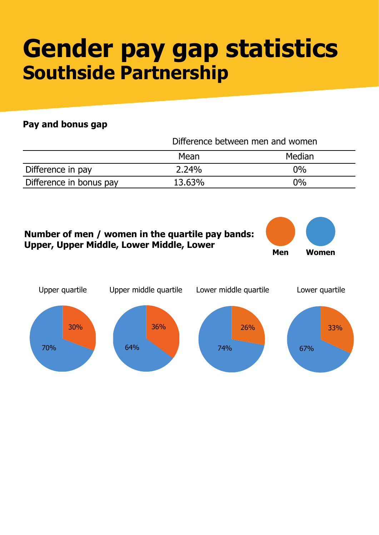### **Gender pay gap statistics Southside Partnership**

|                         | Difference between men and women |        |  |
|-------------------------|----------------------------------|--------|--|
|                         | Mean                             | Median |  |
| Difference in pay       | 2.24%                            | $0\%$  |  |
| Difference in bonus pay | 13.63%                           | $0\%$  |  |